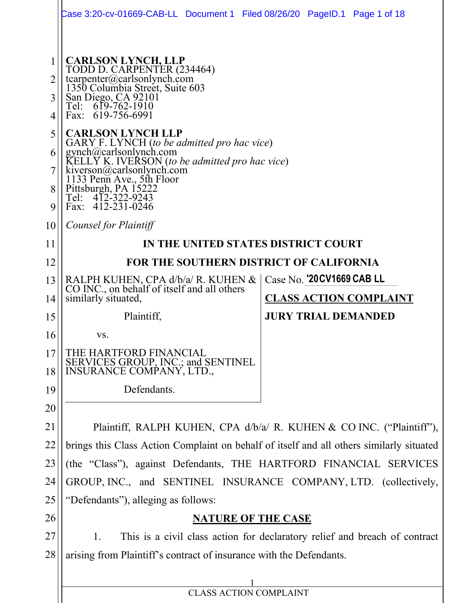|                  | Case 3:20-cv-01669-CAB-LL Document 1 Filed 08/26/20 PageID.1 Page 1 of 18                                                                                                                                                                           |                               |  |  |  |  |
|------------------|-----------------------------------------------------------------------------------------------------------------------------------------------------------------------------------------------------------------------------------------------------|-------------------------------|--|--|--|--|
| 2<br>3<br>4<br>5 | <b>CARLSON LYNCH, LLP</b><br>TODD D. CARPENTER (234464)<br>tcarpenter@carlsonlynch.com<br>1350 Columbia Street, Suite 603<br>San Diego, CA 92101<br>619-762-1910<br>Tel:<br>Fax: 619-756-6991<br><b>CARLSON LYNCH LLP</b>                           |                               |  |  |  |  |
| 6<br>8<br>9      | GARY F. LYNCH (to be admitted pro hac vice)<br>gynch@carlsonlynch.com<br>KELLY K. IVERSON (to be admitted pro hac vice)<br>kiverson@carlsonlynch.com<br>1133 Penn Ave., 5th Floor<br>Pittsburgh, PA 15222<br>Tel: 412-322-9243<br>Fax: 412-231-0246 |                               |  |  |  |  |
| 10               | Counsel for Plaintiff                                                                                                                                                                                                                               |                               |  |  |  |  |
| 11               | IN THE UNITED STATES DISTRICT COURT                                                                                                                                                                                                                 |                               |  |  |  |  |
| 12               | FOR THE SOUTHERN DISTRICT OF CALIFORNIA                                                                                                                                                                                                             |                               |  |  |  |  |
| 13               | RALPH KUHEN, CPA d/b/a/ R. KUHEN &<br>CO INC., on behalf of itself and all others                                                                                                                                                                   | Case No. '20 CV1669 CAB LL    |  |  |  |  |
| 14               | similarly situated,                                                                                                                                                                                                                                 | <b>CLASS ACTION COMPLAINT</b> |  |  |  |  |
| 15               | Plaintiff,                                                                                                                                                                                                                                          | <b>JURY TRIAL DEMANDED</b>    |  |  |  |  |
| 16               | VS.                                                                                                                                                                                                                                                 |                               |  |  |  |  |
| 17<br>18         | THE HARTFORD FINANCIAL<br>SERVICES GROUP, INC.; and SENTINEL<br>INSURANCE COMPANY, LTD.,                                                                                                                                                            |                               |  |  |  |  |
| 19               | Defendants.                                                                                                                                                                                                                                         |                               |  |  |  |  |
| 20               |                                                                                                                                                                                                                                                     |                               |  |  |  |  |
| 21               | Plaintiff, RALPH KUHEN, CPA d/b/a/ R. KUHEN & CO INC. ("Plaintiff"),                                                                                                                                                                                |                               |  |  |  |  |
| 22               | brings this Class Action Complaint on behalf of itself and all others similarly situated                                                                                                                                                            |                               |  |  |  |  |
| 23               | (the "Class"), against Defendants, THE HARTFORD FINANCIAL SERVICES                                                                                                                                                                                  |                               |  |  |  |  |
| 24               | GROUP, INC., and SENTINEL INSURANCE COMPANY, LTD. (collectively,                                                                                                                                                                                    |                               |  |  |  |  |
| 25               | "Defendants"), alleging as follows:                                                                                                                                                                                                                 |                               |  |  |  |  |
| 26               | <b>NATURE OF THE CASE</b>                                                                                                                                                                                                                           |                               |  |  |  |  |
| 27               | This is a civil class action for declaratory relief and breach of contract<br>1.                                                                                                                                                                    |                               |  |  |  |  |
| 28               | arising from Plaintiff's contract of insurance with the Defendants.                                                                                                                                                                                 |                               |  |  |  |  |
|                  |                                                                                                                                                                                                                                                     |                               |  |  |  |  |
|                  | CLASS ACTION COMPLAINT                                                                                                                                                                                                                              |                               |  |  |  |  |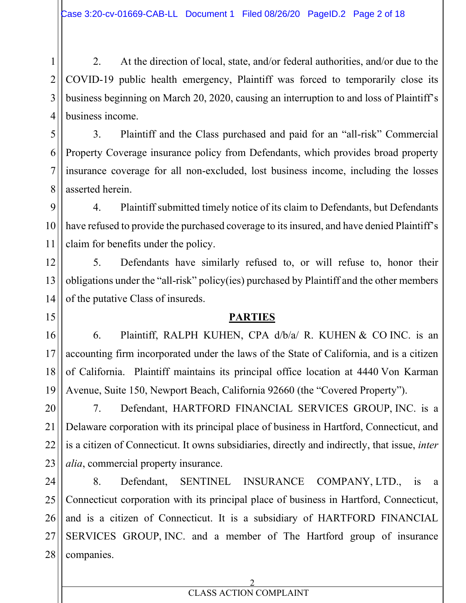2. At the direction of local, state, and/or federal authorities, and/or due to the COVID-19 public health emergency, Plaintiff was forced to temporarily close its business beginning on March 20, 2020, causing an interruption to and loss of Plaintiff's business income.

3. Plaintiff and the Class purchased and paid for an "all-risk" Commercial Property Coverage insurance policy from Defendants, which provides broad property insurance coverage for all non-excluded, lost business income, including the losses asserted herein.

4. Plaintiff submitted timely notice of its claim to Defendants, but Defendants have refused to provide the purchased coverage to its insured, and have denied Plaintiff's claim for benefits under the policy.

5. Defendants have similarly refused to, or will refuse to, honor their obligations under the "all-risk" policy(ies) purchased by Plaintiff and the other members of the putative Class of insureds.

### **PARTIES**

6. Plaintiff, RALPH KUHEN, CPA d/b/a/ R. KUHEN & CO INC. is an accounting firm incorporated under the laws of the State of California, and is a citizen of California. Plaintiff maintains its principal office location at 4440 Von Karman Avenue, Suite 150, Newport Beach, California 92660 (the "Covered Property").

7. Defendant, HARTFORD FINANCIAL SERVICES GROUP, INC. is a Delaware corporation with its principal place of business in Hartford, Connecticut, and is a citizen of Connecticut. It owns subsidiaries, directly and indirectly, that issue, *inter alia*, commercial property insurance.

27 28 8. Defendant, SENTINEL INSURANCE COMPANY, LTD., is a Connecticut corporation with its principal place of business in Hartford, Connecticut, and is a citizen of Connecticut. It is a subsidiary of HARTFORD FINANCIAL SERVICES GROUP, INC. and a member of The Hartford group of insurance companies.

#### 2 CLASS ACTION COMPLAINT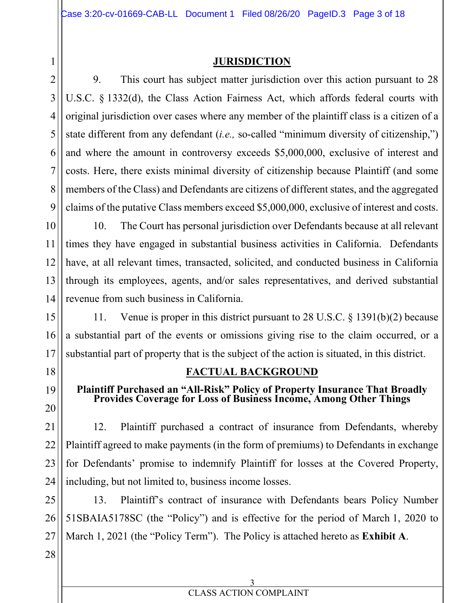### **JURISDICTION**

9. This court has subject matter jurisdiction over this action pursuant to 28 U.S.C. § 1332(d), the Class Action Fairness Act, which affords federal courts with original jurisdiction over cases where any member of the plaintiff class is a citizen of a state different from any defendant (*i.e.,* so-called "minimum diversity of citizenship,") and where the amount in controversy exceeds \$5,000,000, exclusive of interest and costs. Here, there exists minimal diversity of citizenship because Plaintiff (and some members of the Class) and Defendants are citizens of different states, and the aggregated claims of the putative Class members exceed \$5,000,000, exclusive of interest and costs.

10. The Court has personal jurisdiction over Defendants because at all relevant times they have engaged in substantial business activities in California. Defendants have, at all relevant times, transacted, solicited, and conducted business in California through its employees, agents, and/or sales representatives, and derived substantial revenue from such business in California.

11. Venue is proper in this district pursuant to 28 U.S.C. § 1391(b)(2) because a substantial part of the events or omissions giving rise to the claim occurred, or a substantial part of property that is the subject of the action is situated, in this district.

## **FACTUAL BACKGROUND**

# **Plaintiff Purchased an "All-Risk" Policy of Property Insurance That Broadly Provides Coverage for Loss of Business Income, Among Other Things**

12. Plaintiff purchased a contract of insurance from Defendants, whereby Plaintiff agreed to make payments (in the form of premiums) to Defendants in exchange for Defendants' promise to indemnify Plaintiff for losses at the Covered Property, including, but not limited to, business income losses.

25 26 27 13. Plaintiff's contract of insurance with Defendants bears Policy Number 51SBAIA5178SC (the "Policy") and is effective for the period of March 1, 2020 to March 1, 2021 (the "Policy Term"). The Policy is attached hereto as **Exhibit A**.

28

1

2

3

4

5

6

7

8

9

10

11

12

13

14

15

16

17

18

19

20

21

22

23

24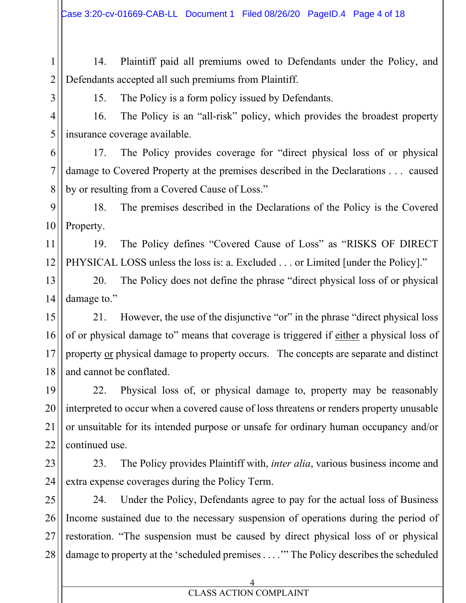1 2 14. Plaintiff paid all premiums owed to Defendants under the Policy, and Defendants accepted all such premiums from Plaintiff.

3

11

12

15. The Policy is a form policy issued by Defendants.

4 5 16. The Policy is an "all-risk" policy, which provides the broadest property insurance coverage available.

6 7 8 17. The Policy provides coverage for "direct physical loss of or physical damage to Covered Property at the premises described in the Declarations . . . caused by or resulting from a Covered Cause of Loss."

9 10 18. The premises described in the Declarations of the Policy is the Covered Property.

19. The Policy defines "Covered Cause of Loss" as "RISKS OF DIRECT PHYSICAL LOSS unless the loss is: a. Excluded . . . or Limited [under the Policy]."

13 14 20. The Policy does not define the phrase "direct physical loss of or physical damage to."

15 16 17 18 21. However, the use of the disjunctive "or" in the phrase "direct physical loss of or physical damage to" means that coverage is triggered if either a physical loss of property or physical damage to property occurs. The concepts are separate and distinct and cannot be conflated.

19 20 21 22 22. Physical loss of, or physical damage to, property may be reasonably interpreted to occur when a covered cause of loss threatens or renders property unusable or unsuitable for its intended purpose or unsafe for ordinary human occupancy and/or continued use.

23 24 23. The Policy provides Plaintiff with, *inter alia*, various business income and extra expense coverages during the Policy Term.

25 26 27 28 24. Under the Policy, Defendants agree to pay for the actual loss of Business Income sustained due to the necessary suspension of operations during the period of restoration. "The suspension must be caused by direct physical loss of or physical damage to property at the 'scheduled premises . . . .'" The Policy describes the scheduled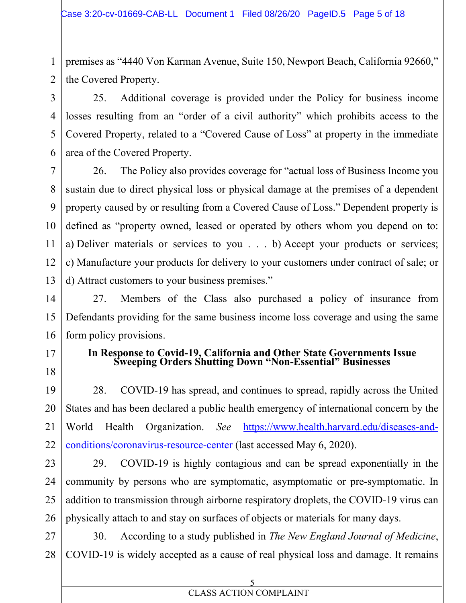3

4

5

6

7

8

9

10

11

12

13

15

17

18

19

20

21

22

1 2 premises as "4440 Von Karman Avenue, Suite 150, Newport Beach, California 92660," the Covered Property.

25. Additional coverage is provided under the Policy for business income losses resulting from an "order of a civil authority" which prohibits access to the Covered Property, related to a "Covered Cause of Loss" at property in the immediate area of the Covered Property.

26. The Policy also provides coverage for "actual loss of Business Income you sustain due to direct physical loss or physical damage at the premises of a dependent property caused by or resulting from a Covered Cause of Loss." Dependent property is defined as "property owned, leased or operated by others whom you depend on to: a) Deliver materials or services to you . . . b) Accept your products or services; c) Manufacture your products for delivery to your customers under contract of sale; or d) Attract customers to your business premises."

14 16 27. Members of the Class also purchased a policy of insurance from Defendants providing for the same business income loss coverage and using the same form policy provisions.

## **In Response to Covid-19, California and Other State Governments Issue Sweeping Orders Shutting Down "Non-Essential" Businesses**

28. COVID-19 has spread, and continues to spread, rapidly across the United States and has been declared a public health emergency of international concern by the World Health Organization. *See* https://www.health.harvard.edu/diseases-andconditions/coronavirus-resource-center (last accessed May 6, 2020).

23 24 25 26 29. COVID-19 is highly contagious and can be spread exponentially in the community by persons who are symptomatic, asymptomatic or pre-symptomatic. In addition to transmission through airborne respiratory droplets, the COVID-19 virus can physically attach to and stay on surfaces of objects or materials for many days.

27 28 30. According to a study published in *The New England Journal of Medicine*, COVID-19 is widely accepted as a cause of real physical loss and damage. It remains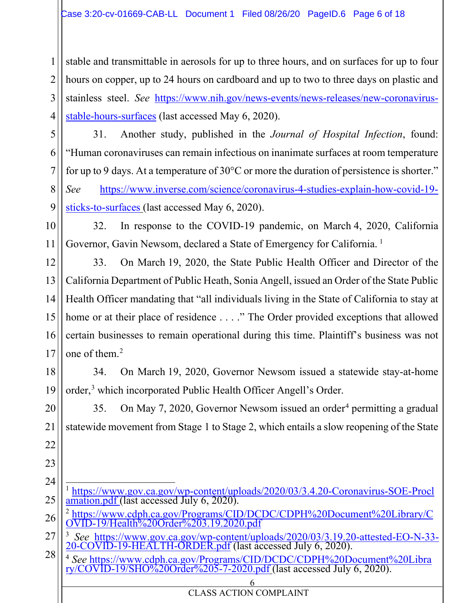1 2 3 4 stable and transmittable in aerosols for up to three hours, and on surfaces for up to four hours on copper, up to 24 hours on cardboard and up to two to three days on plastic and stainless steel. *See* https://www.nih.gov/news-events/news-releases/new-coronavirusstable-hours-surfaces (last accessed May 6, 2020).

5

6

7

8

9

11

19

20

21

22

23

31. Another study, published in the *Journal of Hospital Infection*, found: "Human coronaviruses can remain infectious on inanimate surfaces at room temperature for up to 9 days. At a temperature of 30°C or more the duration of persistence is shorter." *See* https://www.inverse.com/science/coronavirus-4-studies-explain-how-covid-19 sticks-to-surfaces (last accessed May 6, 2020).

10 32. In response to the COVID-19 pandemic, on March 4, 2020, California Governor, Gavin Newsom, declared a State of Emergency for California.<sup>1</sup>

12 13 14 15 16 17 33. On March 19, 2020, the State Public Health Officer and Director of the California Department of Public Heath, Sonia Angell, issued an Order of the State Public Health Officer mandating that "all individuals living in the State of California to stay at home or at their place of residence . . . ." The Order provided exceptions that allowed certain businesses to remain operational during this time. Plaintiff's business was not one of them. $<sup>2</sup>$ </sup>

18 34. On March 19, 2020, Governor Newsom issued a statewide stay-at-home order,<sup>3</sup> which incorporated Public Health Officer Angell's Order.

35. On May 7, 2020, Governor Newsom issued an order<sup>4</sup> permitting a gradual statewide movement from Stage 1 to Stage 2, which entails a slow reopening of the State

24 25 <sup>1</sup> https://www.gov.ca.gov/wp-content/uploads/2020/03/3.4.20-Coronavirus-SOE-Procl amation.pdf (last accessed July 6, 2020).

<sup>26</sup> <sup>2</sup> https://www.cdph.ca.gov/Programs/CID/DCDC/CDPH%20Document%20Library/C OVID-19/Health%20Order%203.19.2020.pdf

<sup>27</sup> <sup>3</sup> *See* https://www.gov.ca.gov/wp-content/uploads/2020/03/3.19.20-attested-EO-N-33-<br>20-COVID-19-HEALTH-ORDER.pdf (last accessed July 6, 2020).

<sup>28</sup> <sup>4</sup> *See* https://www.cdph.ca.gov/Programs/CID/DCDC/CDPH%20Document%20Libra ry/COVID-19/SHO%20Order%205-7-2020.pdf (last accessed July 6, 2020).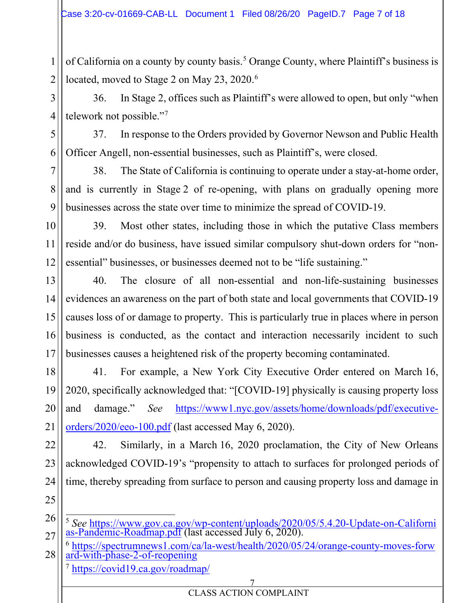of California on a county by county basis.<sup>5</sup> Orange County, where Plaintiff's business is located, moved to Stage 2 on May 23, 2020.<sup>6</sup>

36. In Stage 2, offices such as Plaintiff's were allowed to open, but only "when telework not possible."7

37. In response to the Orders provided by Governor Newson and Public Health Officer Angell, non-essential businesses, such as Plaintiff's, were closed.

38. The State of California is continuing to operate under a stay-at-home order, and is currently in Stage 2 of re-opening, with plans on gradually opening more businesses across the state over time to minimize the spread of COVID-19.

10 11 12 39. Most other states, including those in which the putative Class members reside and/or do business, have issued similar compulsory shut-down orders for "nonessential" businesses, or businesses deemed not to be "life sustaining."

13 14 15 16 17 40. The closure of all non-essential and non-life-sustaining businesses evidences an awareness on the part of both state and local governments that COVID-19 causes loss of or damage to property. This is particularly true in places where in person business is conducted, as the contact and interaction necessarily incident to such businesses causes a heightened risk of the property becoming contaminated.

18 20 41. For example, a New York City Executive Order entered on March 16, 2020, specifically acknowledged that: "[COVID-19] physically is causing property loss and damage." *See* https://www1.nyc.gov/assets/home/downloads/pdf/executiveorders/2020/eeo-100.pdf (last accessed May 6, 2020).

22 23 24 42. Similarly, in a March 16, 2020 proclamation, the City of New Orleans acknowledged COVID-19's "propensity to attach to surfaces for prolonged periods of time, thereby spreading from surface to person and causing property loss and damage in

25 26

19

21

1

2

3

4

5

6

7

8

<sup>27</sup> <sup>5</sup> *See* https://www.gov.ca.gov/wp-content/uploads/2020/05/5.4.20-Update-on-Californi as-Pandemic-Roadmap.pdf (last accessed July 6, 2020).

<sup>28</sup> <sup>6</sup> https://spectrumnews1.com/ca/la-west/health/2020/05/24/orange-county-moves-forw ard-with-phase-2-of-reopening <sup>7</sup> https://covid19.ca.gov/roadmap/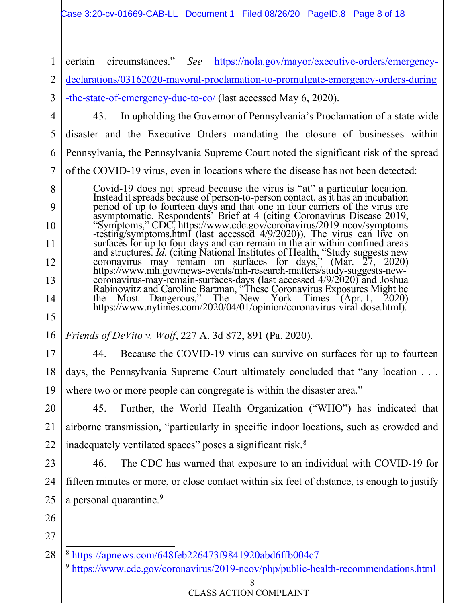### Case 3:20-cv-01669-CAB-LL Document 1 Filed 08/26/20 PageID.8 Page 8 of 18

1 2 3 4 5 6 7 8  $\overline{Q}$ 10 11 12 13 14 15 16 17 18 19 20 21 22 23 24 25 26 27 28 8 certain circumstances." *See* https://nola.gov/mayor/executive-orders/emergencydeclarations/03162020-mayoral-proclamation-to-promulgate-emergency-orders-during -the-state-of-emergency-due-to-co/ (last accessed May 6, 2020). 43. In upholding the Governor of Pennsylvania's Proclamation of a state-wide disaster and the Executive Orders mandating the closure of businesses within Pennsylvania, the Pennsylvania Supreme Court noted the significant risk of the spread of the COVID-19 virus, even in locations where the disease has not been detected: Covid-19 does not spread because the virus is "at" a particular location.<br>Instead it spreads because of person-to-person contact, as it has an incubation<br>period of up to fourteen days and that one in four carriers of the v asymptomatic. Respondents' Brief at 4 (citing Coronavirus Disease 2019, "Symptoms," CDC, https://www.cdc.gov/coronavirus/2019-ncov/symptoms -testing/symptoms.html (last accessed 4/9/2020)). The virus can live on surfaces for up to four days and can remain in the air within confined areas and structures. *Id.* (citing National Institutes of Health, "Study suggests new coronavirus may remain on surfaces for days," (Mar. 27, 2020) ht https://www.nihigov/news-events/nih-surfaces-days (last accessed 4/9/2020) and Joshua<br>coronavirus-may-remain-surfaces-days (last accessed 4/9/2020) and Joshua<br>Rabinowitz and Caroline Bartman, "These Coronavirus Exposures M https://www.nytimes.com/2020/04/01/opinion/coronavirus-viral-dose.html). *Friends of DeVito v. Wolf*, 227 A. 3d 872, 891 (Pa. 2020). 44. Because the COVID-19 virus can survive on surfaces for up to fourteen days, the Pennsylvania Supreme Court ultimately concluded that "any location . . . where two or more people can congregate is within the disaster area." 45. Further, the World Health Organization ("WHO") has indicated that airborne transmission, "particularly in specific indoor locations, such as crowded and inadequately ventilated spaces" poses a significant risk.<sup>8</sup> 46. The CDC has warned that exposure to an individual with COVID-19 for fifteen minutes or more, or close contact within six feet of distance, is enough to justify a personal quarantine.<sup>9</sup> <sup>8</sup> https://apnews.com/648feb226473f9841920abd6ffb004c7 <sup>9</sup> https://www.cdc.gov/coronavirus/2019-ncov/php/public-health-recommendations.html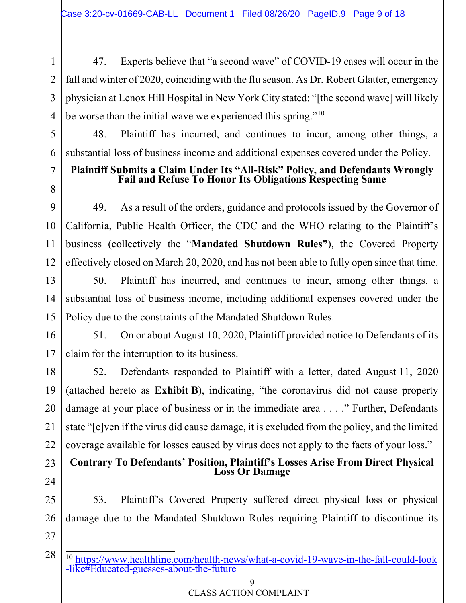47. Experts believe that "a second wave" of COVID-19 cases will occur in the fall and winter of 2020, coinciding with the flu season. As Dr. Robert Glatter, emergency physician at Lenox Hill Hospital in New York City stated: "[the second wave] will likely be worse than the initial wave we experienced this spring."<sup>10</sup>

48. Plaintiff has incurred, and continues to incur, among other things, a substantial loss of business income and additional expenses covered under the Policy.

# **Plaintiff Submits a Claim Under Its "All-Risk" Policy, and Defendants Wrongly Fail and Refuse To Honor Its Obligations Respecting Same**

49. As a result of the orders, guidance and protocols issued by the Governor of California, Public Health Officer, the CDC and the WHO relating to the Plaintiff's business (collectively the "**Mandated Shutdown Rules"**), the Covered Property effectively closed on March 20, 2020, and has not been able to fully open since that time.

50. Plaintiff has incurred, and continues to incur, among other things, a substantial loss of business income, including additional expenses covered under the Policy due to the constraints of the Mandated Shutdown Rules.

51. On or about August 10, 2020, Plaintiff provided notice to Defendants of its claim for the interruption to its business.

52. Defendants responded to Plaintiff with a letter, dated August 11, 2020 (attached hereto as **Exhibit B**), indicating, "the coronavirus did not cause property damage at your place of business or in the immediate area . . . ." Further, Defendants state "[e]ven if the virus did cause damage, it is excluded from the policy, and the limited coverage available for losses caused by virus does not apply to the facts of your loss."

# **Contrary To Defendants' Position, Plaintiff's Losses Arise From Direct Physical Loss Or Damage**

25 26 53. Plaintiff's Covered Property suffered direct physical loss or physical damage due to the Mandated Shutdown Rules requiring Plaintiff to discontinue its

27

28

1

2

3

4

5

6

7

8

9

10

11

12

13

14

15

16

17

18

19

20

21

22

23

24

<sup>10</sup> https://www.healthline.com/health-news/what-a-covid-19-wave-in-the-fall-could-look -like#Educated-guesses-about-the-future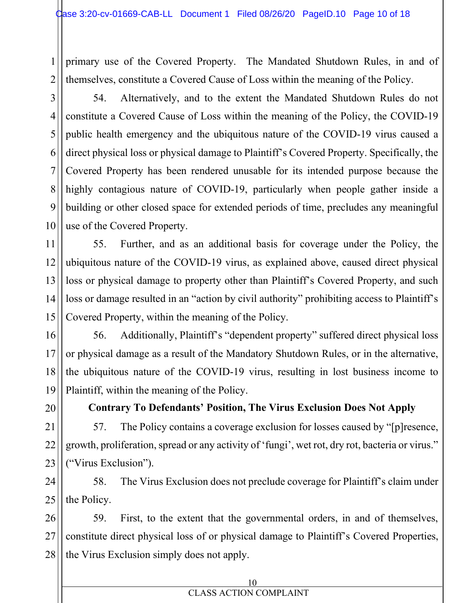2 primary use of the Covered Property. The Mandated Shutdown Rules, in and of themselves, constitute a Covered Cause of Loss within the meaning of the Policy.

54. Alternatively, and to the extent the Mandated Shutdown Rules do not constitute a Covered Cause of Loss within the meaning of the Policy, the COVID-19 public health emergency and the ubiquitous nature of the COVID-19 virus caused a direct physical loss or physical damage to Plaintiff's Covered Property. Specifically, the Covered Property has been rendered unusable for its intended purpose because the highly contagious nature of COVID-19, particularly when people gather inside a building or other closed space for extended periods of time, precludes any meaningful use of the Covered Property.

55. Further, and as an additional basis for coverage under the Policy, the ubiquitous nature of the COVID-19 virus, as explained above, caused direct physical loss or physical damage to property other than Plaintiff's Covered Property, and such loss or damage resulted in an "action by civil authority" prohibiting access to Plaintiff's Covered Property, within the meaning of the Policy.

56. Additionally, Plaintiff's "dependent property" suffered direct physical loss or physical damage as a result of the Mandatory Shutdown Rules, or in the alternative, the ubiquitous nature of the COVID-19 virus, resulting in lost business income to Plaintiff, within the meaning of the Policy.

20

1

3

4

5

6

7

8

9

10

11

12

13

14

15

16

17

18

19

21

22

23

## **Contrary To Defendants' Position, The Virus Exclusion Does Not Apply**

57. The Policy contains a coverage exclusion for losses caused by "[p]resence, growth, proliferation, spread or any activity of 'fungi', wet rot, dry rot, bacteria or virus." ("Virus Exclusion").

24 25 58. The Virus Exclusion does not preclude coverage for Plaintiff's claim under the Policy.

26 27 28 59. First, to the extent that the governmental orders, in and of themselves, constitute direct physical loss of or physical damage to Plaintiff's Covered Properties, the Virus Exclusion simply does not apply.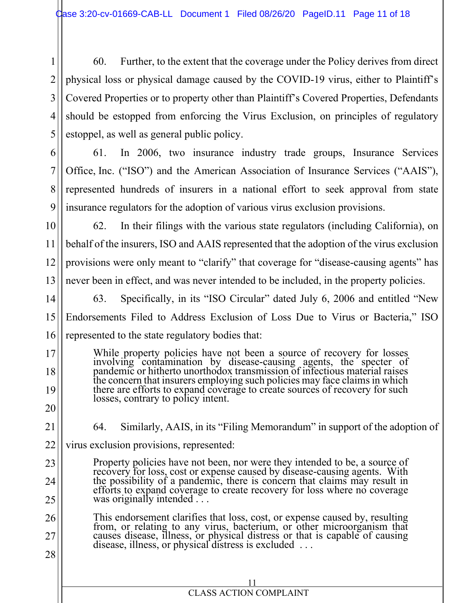3 4 5 60. Further, to the extent that the coverage under the Policy derives from direct physical loss or physical damage caused by the COVID-19 virus, either to Plaintiff's Covered Properties or to property other than Plaintiff's Covered Properties, Defendants should be estopped from enforcing the Virus Exclusion, on principles of regulatory estoppel, as well as general public policy.

61. In 2006, two insurance industry trade groups, Insurance Services Office, Inc. ("ISO") and the American Association of Insurance Services ("AAIS"), represented hundreds of insurers in a national effort to seek approval from state insurance regulators for the adoption of various virus exclusion provisions.

9 10

11

12

13

17

18

19

20

1

2

6

7

8

62. In their filings with the various state regulators (including California), on behalf of the insurers, ISO and AAIS represented that the adoption of the virus exclusion provisions were only meant to "clarify" that coverage for "disease-causing agents" has never been in effect, and was never intended to be included, in the property policies.

14 15 16 63. Specifically, in its "ISO Circular" dated July 6, 2006 and entitled "New Endorsements Filed to Address Exclusion of Loss Due to Virus or Bacteria," ISO represented to the state regulatory bodies that:

While property policies have not been a source of recovery for losses involving contamination by disease-causing agents, the specter of pandemic or hitherto unorthodox transmission of infectious material raises the concern that insurers employing such policies may face claims in which there are efforts to expand coverage to create sources of recovery for such losses, contrary to policy intent.

21

23

24

25

64. Similarly, AAIS, in its "Filing Memorandum" in support of the adoption of

22 virus exclusion provisions, represented:

> Property policies have not been, nor were they intended to be, a source of recovery for loss, cost or expense caused by disease-causing agents. With the possibility of a pandemic, there is concern that claims may result in efforts to expand coverage to create recovery for loss where no coverage was originally intended . . .

26 27 28 This endorsement clarifies that loss, cost, or expense caused by, resulting from, or relating to any virus, bacterium, or other microorganism that causes disease, illness, or physical distress or that is capable of causing disease, illness, or physical distress is excluded . . .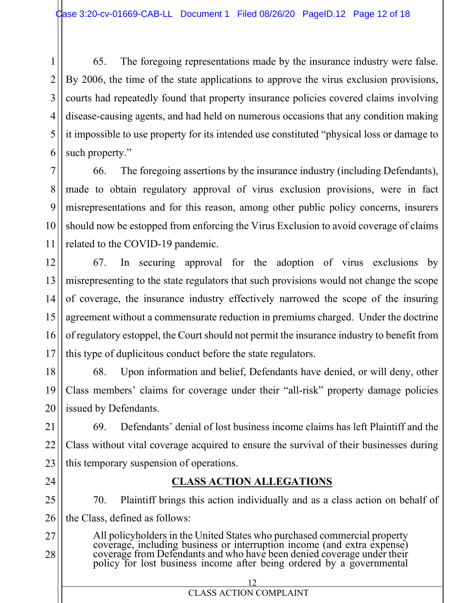65. The foregoing representations made by the insurance industry were false. By 2006, the time of the state applications to approve the virus exclusion provisions, courts had repeatedly found that property insurance policies covered claims involving disease-causing agents, and had held on numerous occasions that any condition making it impossible to use property for its intended use constituted "physical loss or damage to such property."

66. The foregoing assertions by the insurance industry (including Defendants), made to obtain regulatory approval of virus exclusion provisions, were in fact misrepresentations and for this reason, among other public policy concerns, insurers should now be estopped from enforcing the Virus Exclusion to avoid coverage of claims related to the COVID-19 pandemic.

67. In securing approval for the adoption of virus exclusions by misrepresenting to the state regulators that such provisions would not change the scope of coverage, the insurance industry effectively narrowed the scope of the insuring agreement without a commensurate reduction in premiums charged. Under the doctrine of regulatory estoppel, the Court should not permit the insurance industry to benefit from this type of duplicitous conduct before the state regulators.

68. Upon information and belief, Defendants have denied, or will deny, other Class members' claims for coverage under their "all-risk" property damage policies issued by Defendants.

23 69. Defendants' denial of lost business income claims has left Plaintiff and the Class without vital coverage acquired to ensure the survival of their businesses during this temporary suspension of operations.

## **CLASS ACTION ALLEGATIONS**

25 26 70. Plaintiff brings this action individually and as a class action on behalf of the Class, defined as follows:

> 12 CLASS ACTION COMPLAINT

27 All policyholders in the United States who purchased commercial property coverage, including business or interruption income (and extra expense) coverage from Defendants and who have been denied coverage under their<br>policy for lost business income after being ordered by a governmental

1

2

3

4

28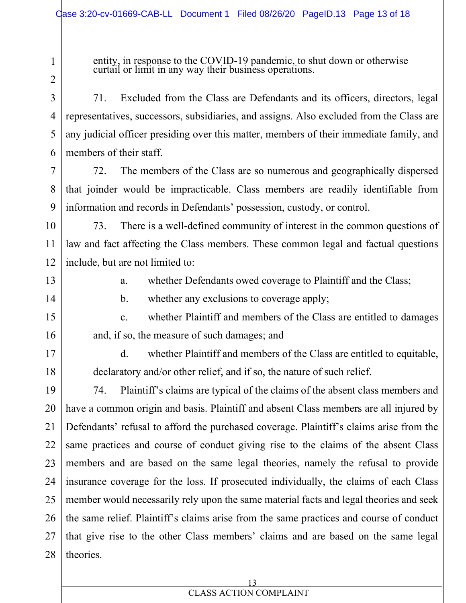entity, in response to the COVID-19 pandemic, to shut down or otherwise curtail or limit in any way their business operations.

71. Excluded from the Class are Defendants and its officers, directors, legal representatives, successors, subsidiaries, and assigns. Also excluded from the Class are any judicial officer presiding over this matter, members of their immediate family, and members of their staff.

72. The members of the Class are so numerous and geographically dispersed that joinder would be impracticable. Class members are readily identifiable from information and records in Defendants' possession, custody, or control.

73. There is a well-defined community of interest in the common questions of law and fact affecting the Class members. These common legal and factual questions include, but are not limited to:

13

1

2

3

4

5

6

7

8

9

10

11

12

14

15

16

17

18

a. whether Defendants owed coverage to Plaintiff and the Class;

b. whether any exclusions to coverage apply;

c. whether Plaintiff and members of the Class are entitled to damages and, if so, the measure of such damages; and

d. whether Plaintiff and members of the Class are entitled to equitable, declaratory and/or other relief, and if so, the nature of such relief.

19 20 21 22 23 24 25 26 27 28 74. Plaintiff's claims are typical of the claims of the absent class members and have a common origin and basis. Plaintiff and absent Class members are all injured by Defendants' refusal to afford the purchased coverage. Plaintiff's claims arise from the same practices and course of conduct giving rise to the claims of the absent Class members and are based on the same legal theories, namely the refusal to provide insurance coverage for the loss. If prosecuted individually, the claims of each Class member would necessarily rely upon the same material facts and legal theories and seek the same relief. Plaintiff's claims arise from the same practices and course of conduct that give rise to the other Class members' claims and are based on the same legal theories.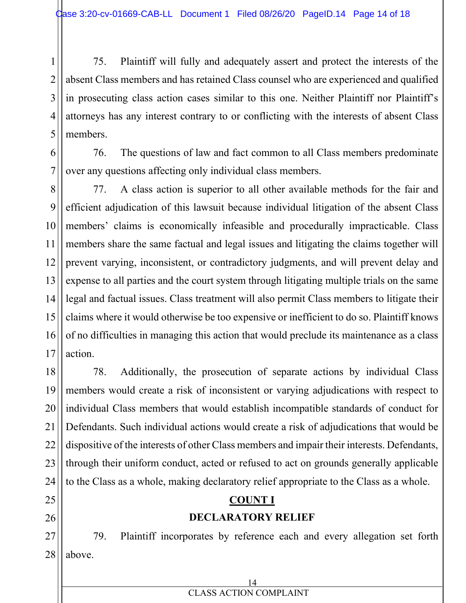1

6

7

11

25

26

27

28

2 3 4 5 75. Plaintiff will fully and adequately assert and protect the interests of the absent Class members and has retained Class counsel who are experienced and qualified in prosecuting class action cases similar to this one. Neither Plaintiff nor Plaintiff's attorneys has any interest contrary to or conflicting with the interests of absent Class members.

76. The questions of law and fact common to all Class members predominate over any questions affecting only individual class members.

8 9 10 12 13 14 15 16 17 77. A class action is superior to all other available methods for the fair and efficient adjudication of this lawsuit because individual litigation of the absent Class members' claims is economically infeasible and procedurally impracticable. Class members share the same factual and legal issues and litigating the claims together will prevent varying, inconsistent, or contradictory judgments, and will prevent delay and expense to all parties and the court system through litigating multiple trials on the same legal and factual issues. Class treatment will also permit Class members to litigate their claims where it would otherwise be too expensive or inefficient to do so. Plaintiff knows of no difficulties in managing this action that would preclude its maintenance as a class action.

18 19 20 21 22 23 24 78. Additionally, the prosecution of separate actions by individual Class members would create a risk of inconsistent or varying adjudications with respect to individual Class members that would establish incompatible standards of conduct for Defendants. Such individual actions would create a risk of adjudications that would be dispositive of the interests of other Class members and impair their interests. Defendants, through their uniform conduct, acted or refused to act on grounds generally applicable to the Class as a whole, making declaratory relief appropriate to the Class as a whole.

## **COUNT I**

## **DECLARATORY RELIEF**

79. Plaintiff incorporates by reference each and every allegation set forth above.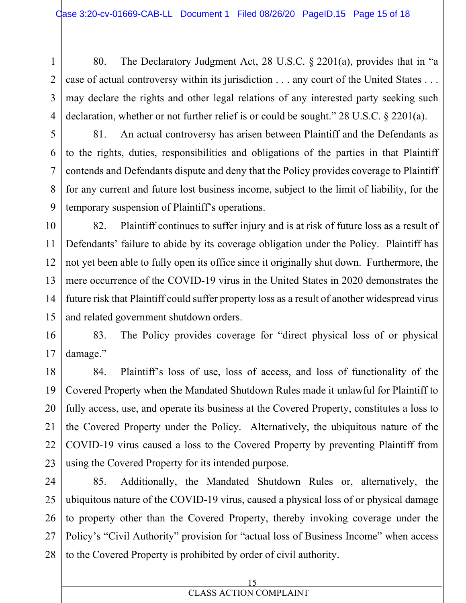80. The Declaratory Judgment Act, 28 U.S.C. § 2201(a), provides that in "a case of actual controversy within its jurisdiction . . . any court of the United States . . . may declare the rights and other legal relations of any interested party seeking such declaration, whether or not further relief is or could be sought." 28 U.S.C. § 2201(a).

5

6

7

8

9

10

11

12

13

1

2

3

4

81. An actual controversy has arisen between Plaintiff and the Defendants as to the rights, duties, responsibilities and obligations of the parties in that Plaintiff contends and Defendants dispute and deny that the Policy provides coverage to Plaintiff for any current and future lost business income, subject to the limit of liability, for the temporary suspension of Plaintiff's operations.

14 15 82. Plaintiff continues to suffer injury and is at risk of future loss as a result of Defendants' failure to abide by its coverage obligation under the Policy. Plaintiff has not yet been able to fully open its office since it originally shut down. Furthermore, the mere occurrence of the COVID-19 virus in the United States in 2020 demonstrates the future risk that Plaintiff could suffer property loss as a result of another widespread virus and related government shutdown orders.

16 83. The Policy provides coverage for "direct physical loss of or physical damage."

84. Plaintiff's loss of use, loss of access, and loss of functionality of the Covered Property when the Mandated Shutdown Rules made it unlawful for Plaintiff to fully access, use, and operate its business at the Covered Property, constitutes a loss to the Covered Property under the Policy. Alternatively, the ubiquitous nature of the COVID-19 virus caused a loss to the Covered Property by preventing Plaintiff from using the Covered Property for its intended purpose.

28 85. Additionally, the Mandated Shutdown Rules or, alternatively, the ubiquitous nature of the COVID-19 virus, caused a physical loss of or physical damage to property other than the Covered Property, thereby invoking coverage under the Policy's "Civil Authority" provision for "actual loss of Business Income" when access to the Covered Property is prohibited by order of civil authority.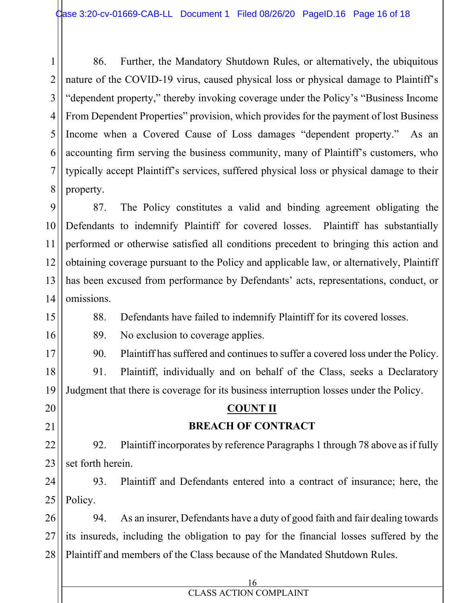1 2 3 4 5 6 7 8 86. Further, the Mandatory Shutdown Rules, or alternatively, the ubiquitous nature of the COVID-19 virus, caused physical loss or physical damage to Plaintiff's "dependent property," thereby invoking coverage under the Policy's "Business Income From Dependent Properties" provision, which provides for the payment of lost Business Income when a Covered Cause of Loss damages "dependent property." As an accounting firm serving the business community, many of Plaintiff's customers, who typically accept Plaintiff's services, suffered physical loss or physical damage to their property.

9 10 11 12 13 14 87. The Policy constitutes a valid and binding agreement obligating the Defendants to indemnify Plaintiff for covered losses. Plaintiff has substantially performed or otherwise satisfied all conditions precedent to bringing this action and obtaining coverage pursuant to the Policy and applicable law, or alternatively, Plaintiff has been excused from performance by Defendants' acts, representations, conduct, or omissions.

88. Defendants have failed to indemnify Plaintiff for its covered losses.

89. No exclusion to coverage applies.

15

16

17

20

21

22

23

90. Plaintiff has suffered and continues to suffer a covered loss under the Policy.

18 19 91. Plaintiff, individually and on behalf of the Class, seeks a Declaratory Judgment that there is coverage for its business interruption losses under the Policy.

## **COUNT II BREACH OF CONTRACT**

92. Plaintiff incorporates by reference Paragraphs 1 through 78 above as if fully set forth herein.

24 25 93. Plaintiff and Defendants entered into a contract of insurance; here, the Policy.

26 27 28 94. As an insurer, Defendants have a duty of good faith and fair dealing towards its insureds, including the obligation to pay for the financial losses suffered by the Plaintiff and members of the Class because of the Mandated Shutdown Rules.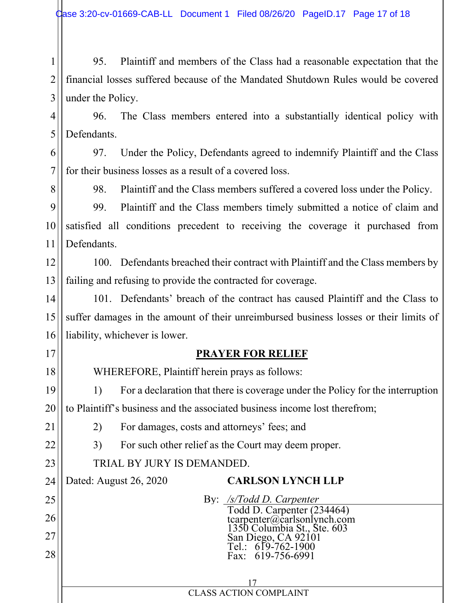1 2 3 95. Plaintiff and members of the Class had a reasonable expectation that the financial losses suffered because of the Mandated Shutdown Rules would be covered under the Policy.

4 5 96. The Class members entered into a substantially identical policy with Defendants.

6 7 97. Under the Policy, Defendants agreed to indemnify Plaintiff and the Class for their business losses as a result of a covered loss.

8

98. Plaintiff and the Class members suffered a covered loss under the Policy.

9 10 11 99. Plaintiff and the Class members timely submitted a notice of claim and satisfied all conditions precedent to receiving the coverage it purchased from Defendants.

12 13 100. Defendants breached their contract with Plaintiff and the Class members by failing and refusing to provide the contracted for coverage.

14 15 16 101. Defendants' breach of the contract has caused Plaintiff and the Class to suffer damages in the amount of their unreimbursed business losses or their limits of liability, whichever is lower.

## **PRAYER FOR RELIEF**

WHEREFORE, Plaintiff herein prays as follows:

2) For damages, costs and attorneys' fees; and

3) For such other relief as the Court may deem proper.

19 20 1) For a declaration that there is coverage under the Policy for the interruption to Plaintiff's business and the associated business income lost therefrom;

21

22

23

25

26

27

28

17

18

TRIAL BY JURY IS DEMANDED.

24 Dated: August 26, 2020

## **CARLSON LYNCH LLP**

By: */s/Todd D. Carpenter* Todd D. Carpenter (234464) tcarpenter@carlsonlynch.com 1350 Columbia St., Ste. 603 San Diego, CA 92101 Tel.: 619-762-1900 Fax: 619-756-6991